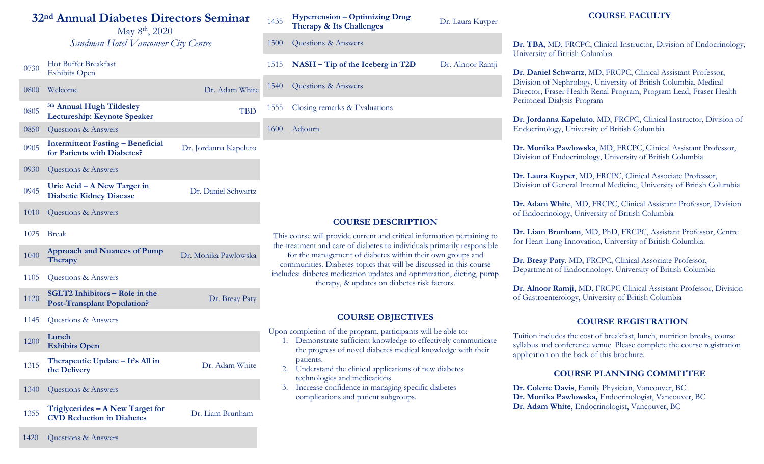# **32nd Annual Diabetes Directors Seminar**

May 8<sup>th</sup>, 2020 *Sandman Hotel Vancouver City Centre*

<sup>0730</sup> Hot Buffet Breakfast Exhibits Open

|  | 0800 | Welcome                                                                     | Dr. Adam White        |
|--|------|-----------------------------------------------------------------------------|-----------------------|
|  | 0805 | <sup>5th</sup> Annual Hugh Tildesley<br><b>Lectureship: Keynote Speaker</b> | TBD                   |
|  | 0850 | Questions & Answers                                                         |                       |
|  | 0905 | <b>Intermittent Fasting - Beneficial</b><br>for Patients with Diabetes?     | Dr. Jordanna Kapeluto |
|  | 0930 | Questions & Answers                                                         |                       |
|  | 0945 | Uric Acid – A New Target in<br><b>Diabetic Kidney Disease</b>               | Dr. Daniel Schwartz   |
|  | 1010 | Questions & Answers                                                         |                       |
|  | 1025 | <b>Break</b>                                                                |                       |
|  | 1040 | <b>Approach and Nuances of Pump</b><br><b>Therapy</b>                       | Dr. Monika Pawlowska  |
|  | 1105 | Questions & Answers                                                         |                       |
|  | 1120 | <b>SGLT2</b> Inhibitors – Role in the<br><b>Post-Transplant Population?</b> | Dr. Breay Paty        |

1145 Questions & Answers

<sup>1200</sup> **Lunch Exhibits Open**

- 1315 **Therapeutic Update It's All in the Delivery**
- 1340 Questions & Answers
- <sup>1355</sup> **Triglycerides – A New Target for CVD Reduction in Diabetes** Dr. Liam Brunham

Dr. Adam White

#### <sup>1435</sup> **Hypertension – Optimizing Drug Therapy & Its Challenges** Dr. Laura Kuyper

1500 Questions & Answers

1515 **NASH – Tip of the Iceberg in T2D** Dr. Alnoor Ramji

1540 Questions & Answers

1555 Closing remarks & Evaluations

1600 Adjourn

# **COURSE DESCRIPTION**

This course will provide current and critical information pertaining to the treatment and care of diabetes to individuals primarily responsible

for the management of diabetes within their own groups and communities. Diabetes topics that will be discussed in this course includes: diabetes medication updates and optimization, dieting, pump therapy, & updates on diabetes risk factors.

### **COURSE OBJECTIVES**

Upon completion of the program, participants will be able to:

- 1. Demonstrate sufficient knowledge to effectively communicate the progress of novel diabetes medical knowledge with their patients.
- 2. Understand the clinical applications of new diabetes technologies and medications.
- 3. Increase confidence in managing specific diabetes complications and patient subgroups.

**Dr. TBA**, MD, FRCPC, Clinical Instructor, Division of Endocrinology, University of British Columbia

**COURSE FACULTY**

**Dr. Daniel Schwartz**, MD, FRCPC, Clinical Assistant Professor, Division of Nephrology, University of British Columbia, Medical Director, Fraser Health Renal Program, Program Lead, Fraser Health Peritoneal Dialysis Program

**Dr. Jordanna Kapeluto**, MD, FRCPC, Clinical Instructor, Division of Endocrinology, University of British Columbia

**Dr. Monika Pawlowska**, MD, FRCPC, Clinical Assistant Professor, Division of Endocrinology, University of British Columbia

**Dr. Laura Kuyper**, MD, FRCPC, Clinical Associate Professor, Division of General Internal Medicine, University of British Columbia

**Dr. Adam White**, MD, FRCPC, Clinical Assistant Professor, Division of Endocrinology, University of British Columbia

**Dr. Liam Brunham**, MD, PhD, FRCPC, Assistant Professor, Centre for Heart Lung Innovation, University of British Columbia.

**Dr. Breay Paty**, MD, FRCPC, Clinical Associate Professor, Department of Endocrinology. University of British Columbia

**Dr. Alnoor Ramji,** MD, FRCPC Clinical Assistant Professor, Division of Gastroenterology, University of British Columbia

# **COURSE REGISTRATION**

Tuition includes the cost of breakfast, lunch, nutrition breaks, course syllabus and conference venue. Please complete the course registration application on the back of this brochure.

### **COURSE PLANNING COMMITTEE**

**Dr. Colette Davis**, Family Physician, Vancouver, BC **Dr. Monika Pawlowska,** Endocrinologist, Vancouver, BC **Dr. Adam White**, Endocrinologist, Vancouver, BC

1420 Questions & Answers